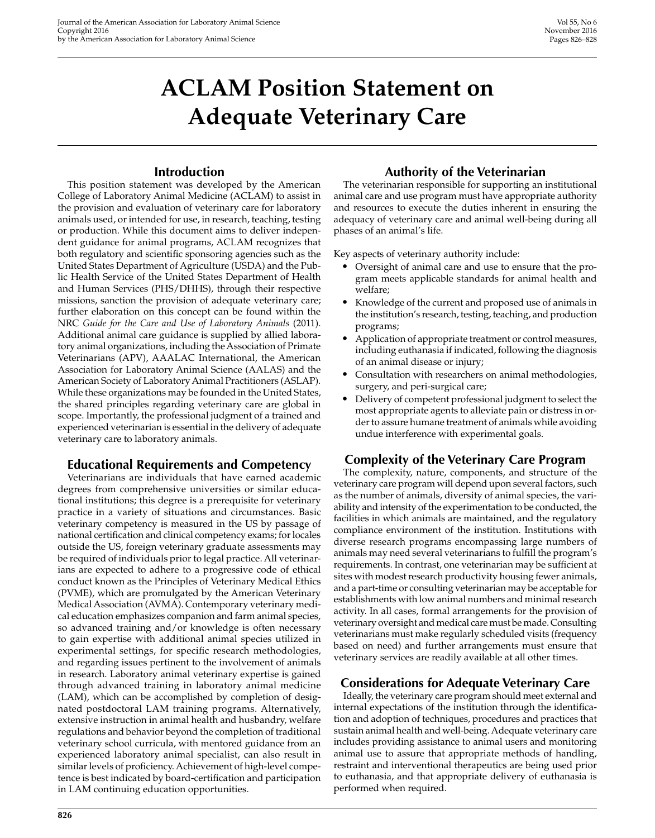# **ACLAM Position Statement on Adequate Veterinary Care**

# **Introduction**

This position statement was developed by the American College of Laboratory Animal Medicine (ACLAM) to assist in the provision and evaluation of veterinary care for laboratory animals used, or intended for use, in research, teaching, testing or production. While this document aims to deliver independent guidance for animal programs, ACLAM recognizes that both regulatory and scientific sponsoring agencies such as the United States Department of Agriculture (USDA) and the Public Health Service of the United States Department of Health and Human Services (PHS/DHHS), through their respective missions, sanction the provision of adequate veterinary care; further elaboration on this concept can be found within the NRC *Guide for the Care and Use of Laboratory Animals* (2011). Additional animal care guidance is supplied by allied laboratory animal organizations, including the Association of Primate Veterinarians (APV), AAALAC International, the American Association for Laboratory Animal Science (AALAS) and the American Society of Laboratory Animal Practitioners (ASLAP). While these organizations may be founded in the United States, the shared principles regarding veterinary care are global in scope. Importantly, the professional judgment of a trained and experienced veterinarian is essential in the delivery of adequate veterinary care to laboratory animals.

## **Educational Requirements and Competency**

Veterinarians are individuals that have earned academic degrees from comprehensive universities or similar educational institutions; this degree is a prerequisite for veterinary practice in a variety of situations and circumstances. Basic veterinary competency is measured in the US by passage of national certification and clinical competency exams; for locales outside the US, foreign veterinary graduate assessments may be required of individuals prior to legal practice. All veterinarians are expected to adhere to a progressive code of ethical conduct known as the Principles of Veterinary Medical Ethics (PVME), which are promulgated by the American Veterinary Medical Association (AVMA). Contemporary veterinary medical education emphasizes companion and farm animal species, so advanced training and/or knowledge is often necessary to gain expertise with additional animal species utilized in experimental settings, for specific research methodologies, and regarding issues pertinent to the involvement of animals in research. Laboratory animal veterinary expertise is gained through advanced training in laboratory animal medicine (LAM), which can be accomplished by completion of designated postdoctoral LAM training programs. Alternatively, extensive instruction in animal health and husbandry, welfare regulations and behavior beyond the completion of traditional veterinary school curricula, with mentored guidance from an experienced laboratory animal specialist, can also result in similar levels of proficiency. Achievement of high-level competence is best indicated by board-certification and participation in LAM continuing education opportunities.

# **Authority of the Veterinarian**

The veterinarian responsible for supporting an institutional animal care and use program must have appropriate authority and resources to execute the duties inherent in ensuring the adequacy of veterinary care and animal well-being during all phases of an animal's life.

Key aspects of veterinary authority include:

- Oversight of animal care and use to ensure that the program meets applicable standards for animal health and welfare;
- Knowledge of the current and proposed use of animals in the institution's research, testing, teaching, and production programs;
- Application of appropriate treatment or control measures, including euthanasia if indicated, following the diagnosis of an animal disease or injury;
- Consultation with researchers on animal methodologies, surgery, and peri-surgical care;
- Delivery of competent professional judgment to select the most appropriate agents to alleviate pain or distress in order to assure humane treatment of animals while avoiding undue interference with experimental goals.

# **Complexity of the Veterinary Care Program**

The complexity, nature, components, and structure of the veterinary care program will depend upon several factors, such as the number of animals, diversity of animal species, the variability and intensity of the experimentation to be conducted, the facilities in which animals are maintained, and the regulatory compliance environment of the institution. Institutions with diverse research programs encompassing large numbers of animals may need several veterinarians to fulfill the program's requirements. In contrast, one veterinarian may be sufficient at sites with modest research productivity housing fewer animals, and a part-time or consulting veterinarian may be acceptable for establishments with low animal numbers and minimal research activity. In all cases, formal arrangements for the provision of veterinary oversight and medical care must be made. Consulting veterinarians must make regularly scheduled visits (frequency based on need) and further arrangements must ensure that veterinary services are readily available at all other times.

## **Considerations for Adequate Veterinary Care**

Ideally, the veterinary care program should meet external and internal expectations of the institution through the identification and adoption of techniques, procedures and practices that sustain animal health and well-being. Adequate veterinary care includes providing assistance to animal users and monitoring animal use to assure that appropriate methods of handling, restraint and interventional therapeutics are being used prior to euthanasia, and that appropriate delivery of euthanasia is performed when required.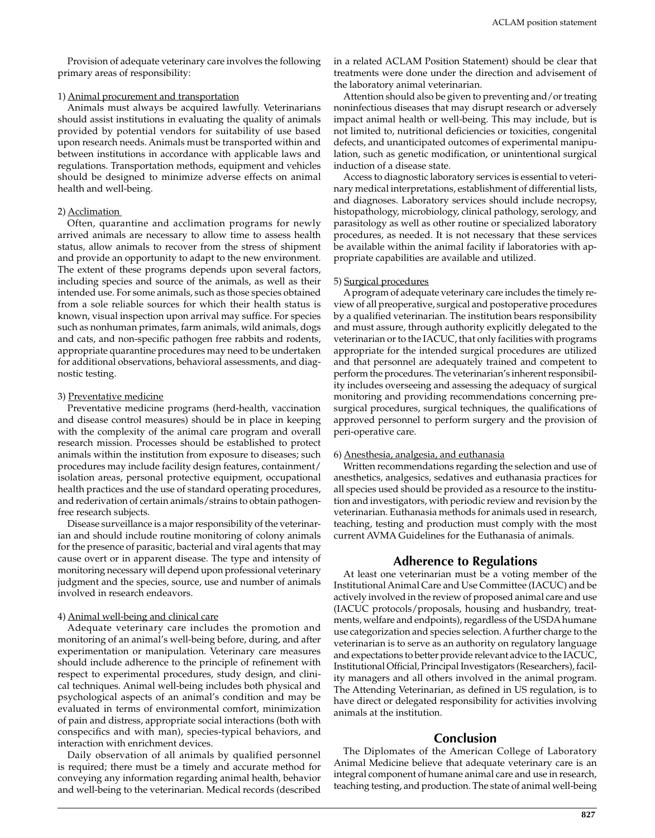Provision of adequate veterinary care involves the following primary areas of responsibility:

## 1) Animal procurement and transportation

Animals must always be acquired lawfully. Veterinarians should assist institutions in evaluating the quality of animals provided by potential vendors for suitability of use based upon research needs. Animals must be transported within and between institutions in accordance with applicable laws and regulations. Transportation methods, equipment and vehicles should be designed to minimize adverse effects on animal health and well-being.

## 2) Acclimation

Often, quarantine and acclimation programs for newly arrived animals are necessary to allow time to assess health status, allow animals to recover from the stress of shipment and provide an opportunity to adapt to the new environment. The extent of these programs depends upon several factors, including species and source of the animals, as well as their intended use. For some animals, such as those species obtained from a sole reliable sources for which their health status is known, visual inspection upon arrival may suffice. For species such as nonhuman primates, farm animals, wild animals, dogs and cats, and non-specific pathogen free rabbits and rodents, appropriate quarantine procedures may need to be undertaken for additional observations, behavioral assessments, and diagnostic testing.

#### 3) Preventative medicine

Preventative medicine programs (herd-health, vaccination and disease control measures) should be in place in keeping with the complexity of the animal care program and overall research mission. Processes should be established to protect animals within the institution from exposure to diseases; such procedures may include facility design features, containment/ isolation areas, personal protective equipment, occupational health practices and the use of standard operating procedures, and rederivation of certain animals/strains to obtain pathogenfree research subjects.

Disease surveillance is a major responsibility of the veterinarian and should include routine monitoring of colony animals for the presence of parasitic, bacterial and viral agents that may cause overt or in apparent disease. The type and intensity of monitoring necessary will depend upon professional veterinary judgment and the species, source, use and number of animals involved in research endeavors.

#### 4) Animal well-being and clinical care

Adequate veterinary care includes the promotion and monitoring of an animal's well-being before, during, and after experimentation or manipulation. Veterinary care measures should include adherence to the principle of refinement with respect to experimental procedures, study design, and clinical techniques. Animal well-being includes both physical and psychological aspects of an animal's condition and may be evaluated in terms of environmental comfort, minimization of pain and distress, appropriate social interactions (both with conspecifics and with man), species-typical behaviors, and interaction with enrichment devices.

Daily observation of all animals by qualified personnel is required; there must be a timely and accurate method for conveying any information regarding animal health, behavior and well-being to the veterinarian. Medical records (described

in a related ACLAM Position Statement) should be clear that treatments were done under the direction and advisement of the laboratory animal veterinarian.

Attention should also be given to preventing and/or treating noninfectious diseases that may disrupt research or adversely impact animal health or well-being. This may include, but is not limited to, nutritional deficiencies or toxicities, congenital defects, and unanticipated outcomes of experimental manipulation, such as genetic modification, or unintentional surgical induction of a disease state.

Access to diagnostic laboratory services is essential to veterinary medical interpretations, establishment of differential lists, and diagnoses. Laboratory services should include necropsy, histopathology, microbiology, clinical pathology, serology, and parasitology as well as other routine or specialized laboratory procedures, as needed. It is not necessary that these services be available within the animal facility if laboratories with appropriate capabilities are available and utilized.

### 5) Surgical procedures

A program of adequate veterinary care includes the timely review of all preoperative, surgical and postoperative procedures by a qualified veterinarian. The institution bears responsibility and must assure, through authority explicitly delegated to the veterinarian or to the IACUC, that only facilities with programs appropriate for the intended surgical procedures are utilized and that personnel are adequately trained and competent to perform the procedures. The veterinarian's inherent responsibility includes overseeing and assessing the adequacy of surgical monitoring and providing recommendations concerning presurgical procedures, surgical techniques, the qualifications of approved personnel to perform surgery and the provision of peri-operative care.

#### 6) Anesthesia, analgesia, and euthanasia

Written recommendations regarding the selection and use of anesthetics, analgesics, sedatives and euthanasia practices for all species used should be provided as a resource to the institution and investigators, with periodic review and revision by the veterinarian. Euthanasia methods for animals used in research, teaching, testing and production must comply with the most current AVMA Guidelines for the Euthanasia of animals.

## **Adherence to Regulations**

At least one veterinarian must be a voting member of the Institutional Animal Care and Use Committee (IACUC) and be actively involved in the review of proposed animal care and use (IACUC protocols/proposals, housing and husbandry, treatments, welfare and endpoints), regardless of the USDA humane use categorization and species selection. A further charge to the veterinarian is to serve as an authority on regulatory language and expectations to better provide relevant advice to the IACUC, Institutional Official, Principal Investigators (Researchers), facility managers and all others involved in the animal program. The Attending Veterinarian, as defined in US regulation, is to have direct or delegated responsibility for activities involving animals at the institution.

## **Conclusion**

The Diplomates of the American College of Laboratory Animal Medicine believe that adequate veterinary care is an integral component of humane animal care and use in research, teaching testing, and production. The state of animal well-being